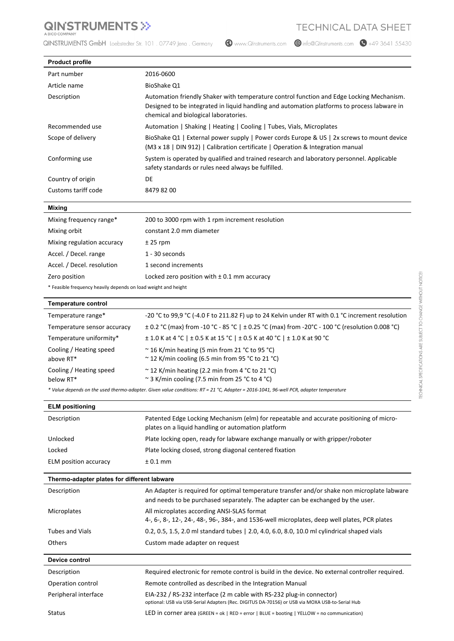## **QINSTRUMENTS >>**

QINSTRUMENTS GmbH Loebstedter Str. 101 . 07749 Jena . Germany

Www.QInstruments.com

 $\bigcirc$  info@QInstruments.com  $\bigcirc$  +49 3641 55430

| <b>Product profile</b>                                         |                                                                                                                                                                                                                                  |
|----------------------------------------------------------------|----------------------------------------------------------------------------------------------------------------------------------------------------------------------------------------------------------------------------------|
| Part number                                                    | 2016-0600                                                                                                                                                                                                                        |
| Article name                                                   | BioShake Q1                                                                                                                                                                                                                      |
| Description                                                    | Automation friendly Shaker with temperature control function and Edge Locking Mechanism.<br>Designed to be integrated in liquid handling and automation platforms to process labware in<br>chemical and biological laboratories. |
| Recommended use                                                | Automation   Shaking   Heating   Cooling   Tubes, Vials, Microplates                                                                                                                                                             |
| Scope of delivery                                              | BioShake Q1   External power supply   Power cords Europe & US   2x screws to mount device<br>(M3 x 18   DIN 912)   Calibration certificate   Operation & Integration manual                                                      |
| Conforming use                                                 | System is operated by qualified and trained research and laboratory personnel. Applicable<br>safety standards or rules need always be fulfilled.                                                                                 |
| Country of origin                                              | DE                                                                                                                                                                                                                               |
| Customs tariff code                                            | 8479 82 00                                                                                                                                                                                                                       |
|                                                                |                                                                                                                                                                                                                                  |
| <b>Mixing</b><br>Mixing frequency range*                       | 200 to 3000 rpm with 1 rpm increment resolution                                                                                                                                                                                  |
| Mixing orbit                                                   | constant 2.0 mm diameter                                                                                                                                                                                                         |
| Mixing regulation accuracy                                     |                                                                                                                                                                                                                                  |
| Accel. / Decel. range                                          | $± 25$ rpm<br>1 - 30 seconds                                                                                                                                                                                                     |
| Accel. / Decel. resolution                                     | 1 second increments                                                                                                                                                                                                              |
| Zero position                                                  | Locked zero position with $\pm$ 0.1 mm accuracy                                                                                                                                                                                  |
| * Feasible frequency heavily depends on load weight and height |                                                                                                                                                                                                                                  |
|                                                                |                                                                                                                                                                                                                                  |
| <b>Temperature control</b>                                     |                                                                                                                                                                                                                                  |
| Temperature range*                                             | -20 °C to 99,9 °C (-4.0 F to 211.82 F) up to 24 Kelvin under RT with 0.1 °C increment resolution                                                                                                                                 |
| Temperature sensor accuracy                                    | ± 0.2 °C (max) from -10 °C - 85 °C   ± 0.25 °C (max) from -20°C - 100 °C (resolution 0.008 °C)                                                                                                                                   |
| Temperature uniformity*                                        | ± 1.0 K at 4 °C   ± 0.5 K at 15 °C   ± 0.5 K at 40 °C   ± 1.0 K at 90 °C                                                                                                                                                         |
| Cooling / Heating speed<br>above RT*                           | ~16 K/min heating (5 min from 21 °C to 95 °C)<br>~12 K/min cooling (6.5 min from 95 °C to 21 °C)                                                                                                                                 |
| Cooling / Heating speed<br>below RT*                           | ~12 K/min heating (2.2 min from 4 °C to 21 °C)<br>~ 3 K/min cooling (7.5 min from 25 °C to 4 °C)                                                                                                                                 |
|                                                                | * Value depends on the used thermo-adapter. Given value conditions: RT = 21 °C, Adapter = 2016-1041, 96-well PCR, adapter temperature                                                                                            |
| <b>ELM positioning</b>                                         |                                                                                                                                                                                                                                  |
| Description                                                    | Patented Edge Locking Mechanism (elm) for repeatable and accurate positioning of micro-<br>plates on a liquid handling or automation platform                                                                                    |
| Unlocked                                                       | Plate locking open, ready for labware exchange manually or with gripper/roboter                                                                                                                                                  |
| Locked                                                         | Plate locking closed, strong diagonal centered fixation                                                                                                                                                                          |
| ELM position accuracy                                          | $± 0.1$ mm                                                                                                                                                                                                                       |
| Thermo-adapter plates for different labware                    |                                                                                                                                                                                                                                  |
| Description                                                    | An Adapter is required for optimal temperature transfer and/or shake non microplate labware<br>and needs to be purchased separately. The adapter can be exchanged by the user.                                                   |
| Microplates                                                    | All microplates according ANSI-SLAS format<br>4-, 6-, 8-, 12-, 24-, 48-, 96-, 384-, and 1536-well microplates, deep well plates, PCR plates                                                                                      |
| <b>Tubes and Vials</b>                                         | 0.2, 0.5, 1.5, 2.0 ml standard tubes   2.0, 4.0, 6.0, 8.0, 10.0 ml cylindrical shaped vials                                                                                                                                      |
| <b>Others</b>                                                  | Custom made adapter on request                                                                                                                                                                                                   |
| Device control                                                 |                                                                                                                                                                                                                                  |
|                                                                |                                                                                                                                                                                                                                  |
| Description<br>Operation control                               | Required electronic for remote control is build in the device. No external controller required.                                                                                                                                  |
| Peripheral interface                                           | Remote controlled as described in the Integration Manual                                                                                                                                                                         |
|                                                                | EIA-232 / RS-232 interface (2 m cable with RS-232 plug-in connector)                                                                                                                                                             |

optional: USB via USB-Serial Adapters (Rec. DIGITUS DA-70156) or USB via MOXA USB-to-Serial Hub Status LED in corner area (GREEN = ok | RED = error | BLUE = booting | YELLOW = no communication)